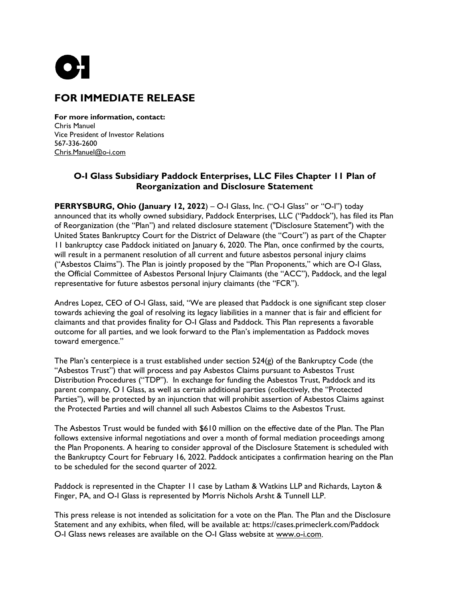

## **FOR IMMEDIATE RELEASE**

**For more information, contact:** Chris Manuel Vice President of Investor Relations 567-336-2600 [Chris.Manuel@o-i.com](mailto:Chris.Manuel@o-i.com?subject=Paddock%20Plan%20of%20Reorganization%20Inquiry)

## **O-I Glass Subsidiary Paddock Enterprises, LLC Files Chapter 11 Plan of Reorganization and Disclosure Statement**

**PERRYSBURG, Ohio (January 12, 2022**) – O-I Glass, Inc. ("O-I Glass" or "O-I") today announced that its wholly owned subsidiary, Paddock Enterprises, LLC ("Paddock"), has filed its Plan of Reorganization (the "Plan") and related disclosure statement ("Disclosure Statement") with the United States Bankruptcy Court for the District of Delaware (the "Court") as part of the Chapter 11 bankruptcy case Paddock initiated on January 6, 2020. The Plan, once confirmed by the courts, will result in a permanent resolution of all current and future asbestos personal injury claims ("Asbestos Claims"). The Plan is jointly proposed by the "Plan Proponents," which are O-I Glass, the Official Committee of Asbestos Personal Injury Claimants (the "ACC"), Paddock, and the legal representative for future asbestos personal injury claimants (the "FCR").

Andres Lopez, CEO of O-I Glass, said, "We are pleased that Paddock is one significant step closer towards achieving the goal of resolving its legacy liabilities in a manner that is fair and efficient for claimants and that provides finality for O-I Glass and Paddock. This Plan represents a favorable outcome for all parties, and we look forward to the Plan's implementation as Paddock moves toward emergence."

The Plan's centerpiece is a trust established under section  $524(g)$  of the Bankruptcy Code (the "Asbestos Trust") that will process and pay Asbestos Claims pursuant to Asbestos Trust Distribution Procedures ("TDP"). In exchange for funding the Asbestos Trust, Paddock and its parent company, O I Glass, as well as certain additional parties (collectively, the "Protected Parties"), will be protected by an injunction that will prohibit assertion of Asbestos Claims against the Protected Parties and will channel all such Asbestos Claims to the Asbestos Trust.

The Asbestos Trust would be funded with \$610 million on the effective date of the Plan. The Plan follows extensive informal negotiations and over a month of formal mediation proceedings among the Plan Proponents. A hearing to consider approval of the Disclosure Statement is scheduled with the Bankruptcy Court for February 16, 2022. Paddock anticipates a confirmation hearing on the Plan to be scheduled for the second quarter of 2022.

Paddock is represented in the Chapter 11 case by Latham & Watkins LLP and Richards, Layton & Finger, PA, and O-I Glass is represented by Morris Nichols Arsht & Tunnell LLP.

This press release is not intended as solicitation for a vote on the Plan. The Plan and the Disclosure Statement and any exhibits, when filed, will be available at: https://cases.primeclerk.com/Paddock O-I Glass news releases are available on the O-I Glass website at [www.o-i.com.](http://o-i.com/)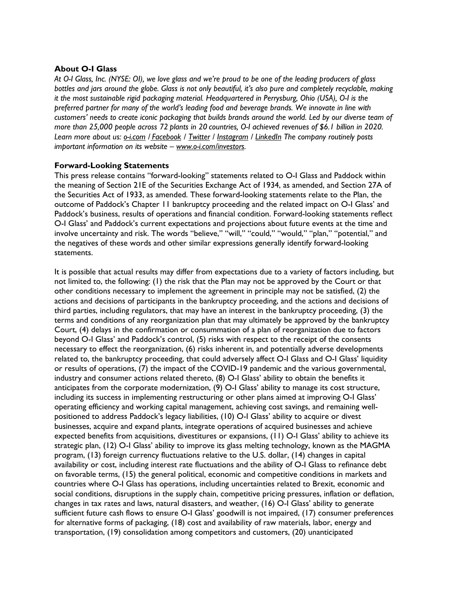## **About O-I Glass**

*At O-I Glass, Inc. (NYSE: OI), we love glass and we're proud to be one of the leading producers of glass bottles and jars around the globe. Glass is not only beautiful, it's also pure and completely recyclable, making it the most sustainable rigid packaging material. Headquartered in Perrysburg, Ohio (USA), O-I is the preferred partner for many of the world's leading food and beverage brands. We innovate in line with customers' needs to create iconic packaging that builds brands around the world. Led by our diverse team of more than 25,000 people across 72 plants in 20 countries, O-I achieved revenues of \$6.1 billion in 2020. Learn more about us: [o-i.com](http://o-i.com/) / [Facebook](https://www.facebook.com/OIGlass) / [Twitter](https://twitter.com/OI_Glass) / [Instagram](https://www.instagram.com/OI_Glass/) / [LinkedIn](https://www.linkedin.com/company/o-i) The company routinely posts important information on its website – [www.o-i.com/investors.](http://o-i.com/investors)*

## **Forward-Looking Statements**

This press release contains "forward-looking" statements related to O-I Glass and Paddock within the meaning of Section 21E of the Securities Exchange Act of 1934, as amended, and Section 27A of the Securities Act of 1933, as amended. These forward-looking statements relate to the Plan, the outcome of Paddock's Chapter 11 bankruptcy proceeding and the related impact on O-I Glass' and Paddock's business, results of operations and financial condition. Forward-looking statements reflect O-I Glass' and Paddock's current expectations and projections about future events at the time and involve uncertainty and risk. The words "believe," "will," "could," "would," "plan," "potential," and the negatives of these words and other similar expressions generally identify forward-looking statements.

It is possible that actual results may differ from expectations due to a variety of factors including, but not limited to, the following: (1) the risk that the Plan may not be approved by the Court or that other conditions necessary to implement the agreement in principle may not be satisfied, (2) the actions and decisions of participants in the bankruptcy proceeding, and the actions and decisions of third parties, including regulators, that may have an interest in the bankruptcy proceeding, (3) the terms and conditions of any reorganization plan that may ultimately be approved by the bankruptcy Court, (4) delays in the confirmation or consummation of a plan of reorganization due to factors beyond O-I Glass' and Paddock's control, (5) risks with respect to the receipt of the consents necessary to effect the reorganization, (6) risks inherent in, and potentially adverse developments related to, the bankruptcy proceeding, that could adversely affect O-I Glass and O-I Glass' liquidity or results of operations, (7) the impact of the COVID-19 pandemic and the various governmental, industry and consumer actions related thereto, (8) O-I Glass' ability to obtain the benefits it anticipates from the corporate modernization, (9) O-I Glass' ability to manage its cost structure, including its success in implementing restructuring or other plans aimed at improving O-I Glass' operating efficiency and working capital management, achieving cost savings, and remaining wellpositioned to address Paddock's legacy liabilities, (10) O-I Glass' ability to acquire or divest businesses, acquire and expand plants, integrate operations of acquired businesses and achieve expected benefits from acquisitions, divestitures or expansions, (11) O-I Glass' ability to achieve its strategic plan, (12) O-I Glass' ability to improve its glass melting technology, known as the MAGMA program, (13) foreign currency fluctuations relative to the U.S. dollar, (14) changes in capital availability or cost, including interest rate fluctuations and the ability of O-I Glass to refinance debt on favorable terms, (15) the general political, economic and competitive conditions in markets and countries where O-I Glass has operations, including uncertainties related to Brexit, economic and social conditions, disruptions in the supply chain, competitive pricing pressures, inflation or deflation, changes in tax rates and laws, natural disasters, and weather, (16) O-I Glass' ability to generate sufficient future cash flows to ensure O-I Glass' goodwill is not impaired, (17) consumer preferences for alternative forms of packaging, (18) cost and availability of raw materials, labor, energy and transportation, (19) consolidation among competitors and customers, (20) unanticipated